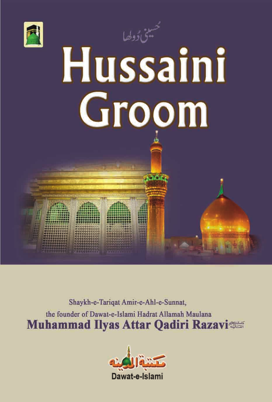



**TALL** 

Shaykh-e-Tarigat Amir-e-Ahl-e-Sunnat, the founder of Dawat-e-Islami Hadrat Allamah Maulana **Muhammad Ilyas Attar Qadiri Razavi** 

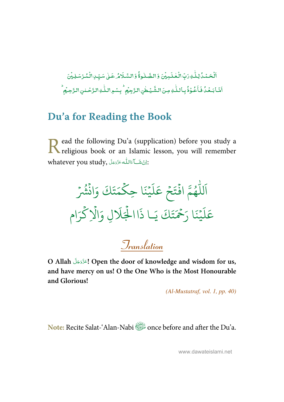-ٱلْۡحَـۡـُدُّكِنَّـٰهِ رَبِّ الۡـَٰٓحٰـٰلَـٰهِ بِيۡنَ وَ الصَّـٰلُـوةُۚ وَ السَّـَلَامُـٰ عَـٰلِ سَـبِّـٰ الۡـُمُـرۡسَـٰلِـيۡنَ ֘  $\overline{a}$ ٰ ؚ<br>؞ ់ ٰ İ --ٰ -់ ֦ ֧֘ أَشَا بَعُدُّ فَأَعُوْذُ بِاللّٰهِ مِنَ الشَّيْطُنِ الزَّجِيْمِ ۖ بِسْمِ اللّٰهِ الزَّحْلنِ الزَّحِيُمِ -ۡ -֧֦֘ -ٰ ٰ ֧<sup>֓</sup>֓ ٰ ֧֘ ֧֦֧֝<sup>֚</sup>

## **Du'a for Reading the Book**

ead the following Du'a (supplication) before you study a Read the following Du'a (supplication) before you study a religious book or an Islamic lesson, you will remember whatever you study, أَيْشَاءَاللَّهَءَدَّدَجَلَّ ī ì í

- لل ر<br>آ اَللّٰهُمَّ افۡتَحۡ و<br>ھ  $\ddot{\cdot}$ ۡ  $\frac{1}{2}$ تَحْ ر<br>آ ل  $\tilde{\epsilon}$ عَلَيْنَا حِ نَا حِكْمَتَ  $\frac{1}{2}$  $\frac{1}{2}$ ت ر<br>ھ حَتَكَ وَانْشُرْ  $\ddot{\cdot}$  $\ddot{\phantom{0}}$ و<br>په ر<br>آ ل  $\tilde{\epsilon}$ عَلَيْنَا رَحَمَ  $\frac{1}{2}$ ِ<br>چ نڪر<br>-َ َا ر ن  $\frac{1}{2}$ .<br>تَكَ يَـ اي ا ذَا الْجَلَالِ وَالَا ہ<br>ا ہ<br>1 ر<br>آ لَالٍ وَالْإِكْرَام ہ<br>ح

**Translation**

**O Allah ! Open the door of knowledge and wisdom for us,**  í í **and have mercy on us! O the One Who is the Most Honourable and Glorious!** 

(Al-Mustatraf, vol. 1, pp. 40)

**Note:** Recite Salat-'Alan-Nabi once before and after the Du'a.

www.dawateislami.net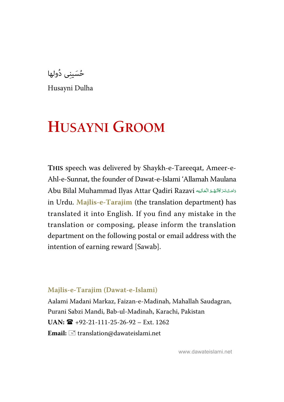حُسَینِی دُولھا

Husayni Dulha

# **HUSAYNI GROOM**

**THIS** speech was delivered by Shaykh-e-Tareeqat, Ameer-e-Ahl-e-Sunnat, the founder of Dawat-e-Islami 'Allamah Maulana Abu Bilal Muhammad Ilyas Attar Qadiri Razavi دَامَتْ بَرَكَاتُهُمْ العَهَا í í ź í Í í í í in Urdu. **Majlis-e-Tarajim** (the translation department**)** has translated it into English. If you find any mistake in the translation or composing, please inform the translation department on the following postal or email address with the intention of earning reward [Sawab].

#### **Majlis-e-Tarajim (Dawat-e-Islami)**

Aalami Madani Markaz, Faizan-e-Madinah, Mahallah Saudagran, Purani Sabzi Mandi, Bab-ul-Madinah, Karachi, Pakistan  $UAN: \mathbf{R}$  +92-21-111-25-26-92 – Ext. 1262 Email:  $\equiv$  translation@dawateislami.net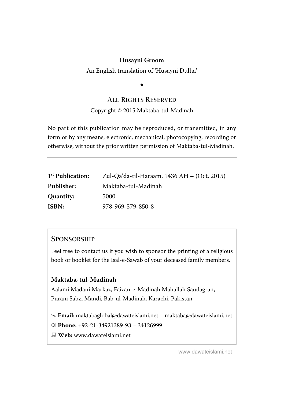An English translation of 'Husayni Dulha'

# $\ddot{\phantom{0}}$

#### **ALL RIGHTS RESERVED**

#### Copyright © 2015 Maktaba-tul-Madinah

No part of this publication may be reproduced, or transmitted, in any form or by any means, electronic, mechanical, photocopying, recording or otherwise, without the prior written permission of Maktaba-tul-Madinah.

| 1 <sup>st</sup> Publication: | Zul-Qa'da-til-Haraam, 1436 AH – (Oct, 2015) |
|------------------------------|---------------------------------------------|
| Publisher:                   | Maktaba-tul-Madinah                         |
| Quantity:                    | 5000                                        |
| ISBN:                        | 978-969-579-850-8                           |

#### **SPONSORSHIP**

Feel free to contact us if you wish to sponsor the printing of a religious book or booklet for the Isal-e-Sawab of your deceased family members.

#### **Maktaba-tul-Madinah**

Aalami Madani Markaz, Faizan-e-Madinah Mahallah Saudagran, Purani Sabzi Mandi, Bab-ul-Madinah, Karachi, Pakistan

 **Email:** maktabaglobal@dawateislami.net – maktaba@dawateislami.net

 **Phone: +**92-21-34921389-93 – 34126999

 **Web:** www.dawateislami.net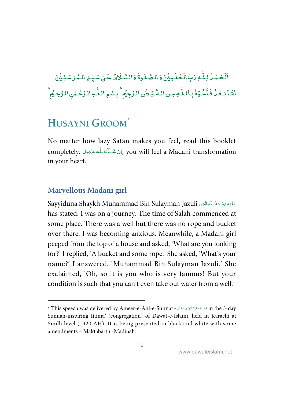-<mark>ٱلۡحَمۡدُۢ</mark> لِلّٰہِ رَبِّ ֘ ٰ دَبِّ الْعٰلَمِيْنَ وَالصَّلٰوةُ وَالسَّلَامُ عَلٰى سَيِّدِالْمُرْتَسْلِيْنَ ់<br>៖ ֘ ٰ --ٰ -់ ់<br>៖ أَمَّا بَـعَٰلُ فَأَعُوْذُ -֧֘ -֦֘֝ - $\tilde{\cdot}$ فَأَعُوْذُ بِأَللّٰهِ مِنَ الشَّيُطٰنِ ٰ ٰ الشَّيۡطٰنِ الرَّجِيۡمُ ۙ بِسۡوِ اللّٰهِ الرَّحۡـٰمٰنِ الرَّحِيۡمِ ۚ  $\overline{a}$ ٰ ់  $^{\bullet}$ 

## **HUSAYNI GROOM\***

No matter how lazy Satan makes you feel, read this booklet completely. كِنْ شَــاّءَاللّٰه عَزَوَجَلَ ompletely. كِينَ سَاللّٰه عَزَوَجَلَ í í -Ş í in your heart.

#### **Marvellous Madani girl**

l

Sayyiduna Shaykh Muhammad Bin Sulayman Jazuli عَلَيْوَمَحْمَةُاللّٰوَالَوْلِيَ وَالْكَلِيْمِيَ الْكَلِيْمِيَ ال j ֺ֦֧֚֚֚<sup>֓</sup> í ļ í ļ í has stated: I was on a journey. The time of Salah commenced at some place. There was a well but there was no rope and bucket over there. I was becoming anxious. Meanwhile, a Madani girl peeped from the top of a house and asked, 'What are you looking for?' I replied, 'A bucket and some rope.' She asked, 'What's your name?' I answered, 'Muhammad Bin Sulayman Jazuli.' She exclaimed, 'Oh, so it is you who is very famous! But your condition is such that you can't even take out water from a well.'

<sup>\*</sup> This speech was delivered by Ameer-e-Ahl-e-Sunnat دَامَتْ بَرَّ كَاتُهُمْ الْعَالِيَه This speech was delivered by Ameer-e-Ahl-e-Sunnat Ĩ í í í í í í j í Sunnah-inspiring Ijtima' (congregation) of Dawat-e-Islami, held in Karachi at Sindh level (1420 AH). It is being presented in black and white with some amendments – Maktaba-tul-Madinah.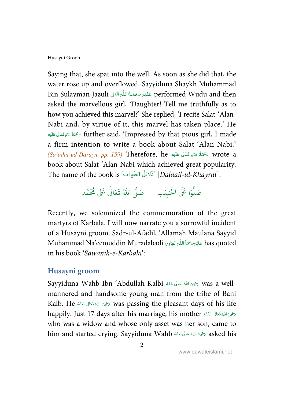Saying that, she spat into the well. As soon as she did that, the water rose up and overflowed. Sayyiduna Shaykh Muhammad Bin Sulayman Jazuli عَلَيْهِ رَحْمَةُ اللّٰهِ الْوَلِي Bin Sulayman Jazuli j ׇֺ֧֧֚֚֚֓֕֓֕֓֕֓֡֓֓֬֓֓֬֓֓֬֓֓֬֓֓֬֓֓֬֓֓֬֓֓֬֓֓֬֓֓֓֓ í ļ í ļ í asked the marvellous girl, 'Daughter! Tell me truthfully as to how you achieved this marvel?' She replied, 'I recite Salat-'Alan-Nabi and, by virtue of it, this marvel has taken place.' He - \*.  /  ) 0- ' further said, 'Impressed by that pious girl, I made í í í a firm intention to write a book about Salat-'Alan-Nabi.'  ${\it (Sa'adar-ud-Darayn, pp.~159)}$  Therefore,  ${\it he}$  كَحْمَةُ اللهِ تَعَالَى عَلَيْه $r$  wrote  ${\it a}$ í í í book about Salat-'Alan-Nabi which achieved great popularity. The name of the book is 'دَلائِلُ الخَبرات $\delta$ ' [Dalaail-ul-Khayrat].

#### .<br>وا عَلَى الْح ر<br>أ و<br>ا صَلُّوْا عَلَى الْحَبِيْبِ ۚ صَلَّى اللَّهُ تَعَالَىٰ عَلَىٰ مُحَمَّد ֘ ٰ

Recently, we solemnized the commemoration of the great martyrs of Karbala. I will now narrate you a sorrowful incident of a Husayni groom. Sadr-ul-Afadil, 'Allamah Maulana Sayyid Muhammad Na'eemuddin Muradabadi عَلَيْهِ مَحْتَةُاللّٰهِ!لَيْهِا أَيْنَا لِهَ اللهَ اللهِ اللهَ الله í í in his book 'Sawanih-e-Karbala':

### **Husayni groom**

Sayyiduna Wahb Ibn 'Abdullah Kalbi تَحْيَىَ اللَّهَ تَعَالَى عَنْهُ Sayyiduna Wahb Ibn 'Abdullah Kalbi ć í ć í mannered and handsome young man from the tribe of Bani Kalb. He سَحْوَى اللهُ تَعَالَى عَنْهُ Kalb. He مَحْوَى اللهُ تَعَالَى عَنْهُ ć í ć í happily. Just 17 days after his marriage, his mother حَرْجَى اللَّهُ تَعَالَى عَنْهَا Í ć í ć í who was a widow and whose only asset was her son, came to him and started crying. Sayyiduna Wahb حض الله تَعَالى عَنْهُ Mim and started crying. Sayyiduna Wahb ć í ć í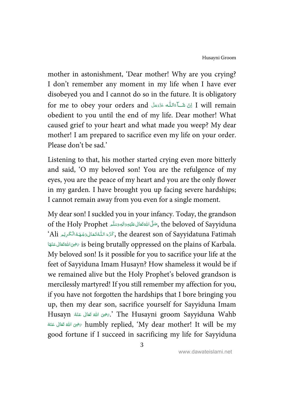mother in astonishment, 'Dear mother! Why are you crying? I don't remember any moment in my life when I have ever disobeyed you and I cannot do so in the future. It is obligatory for me to obey your orders and ś í -Ş í obedient to you until the end of my life. Dear mother! What caused grief to your heart and what made you weep? My dear mother! I am prepared to sacrifice even my life on your order. Please don't be sad.'

Listening to that, his mother started crying even more bitterly and said, 'O my beloved son! You are the refulgence of my eyes, you are the peace of my heart and you are the only flower in my garden. I have brought you up facing severe hardships; I cannot remain away from you even for a single moment.

My dear son! I suckled you in your infancy. Today, the grandson of the Holy Prophet , حَنَّى اللهُ تَعَالى عَلَيْهِ وَاللهِ وَسَلَّم , the beloved of Sayyiduna í í í í ć  $\lq$ ْكَرَّهَ اللُّهْ تَعَالَىٰ رَجُهَهُ الْكَرِيْمِ 'Ali كَرَّمَتَ اللُّهُ تَعَالَىٰ رَجُهَهُ الْكَرِيْمِ  $\lq$ í Ĵ ś í å. í í is being brutally oppressed on the plains of Karbala. تحوى الله تَعَالى عَنْهَا Í ć í ć í My beloved son! Is it possible for you to sacrifice your life at the feet of Sayyiduna Imam Husayn? How shameless it would be if we remained alive but the Holy Prophet's beloved grandson is mercilessly martyred! If you still remember my affection for you, if you have not forgotten the hardships that I bore bringing you up, then my dear son, sacrifice yourself for Sayyiduna Imam Husayn أَبرَضِيَ اللهُ تَعَالَى عَنْهُ Dhe Husayni groom Sayyiduna Wahb í í í ŕ ć í خَّلَ لَنَّهُ تَعَالَى عَنْهُ  $\lambda$  humbly replied, 'My dear mother! It will be my ć í ć í good fortune if I succeed in sacrificing my life for Sayyiduna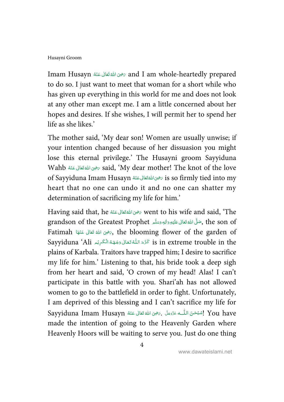Imam Husayn حَرْجَ اللهَ تَعَالَى عَنْهُ Husayn الله prepared I am whole-heartedly prepared ć í ć í to do so. I just want to meet that woman for a short while who has given up everything in this world for me and does not look at any other man except me. I am a little concerned about her hopes and desires. If she wishes, I will permit her to spend her life as she likes.'

The mother said, 'My dear son! Women are usually unwise; if your intention changed because of her dissuasion you might lose this eternal privilege.' The Husayni groom Sayyiduna Wahb ﴿ رَسُوا اللَّهُ تَعَالَى عَنْهُ Wahb وَاللَّهُ اللَّهُ اللَّهُ فَعَالَى عَنْهُ í ź í ś ś of Sayyiduna Imam Husayn حَرْمِى اللَّهْ تَعَالَى عَنْهُ So firmly tied into my ć ś ć í heart that no one can undo it and no one can shatter my determination of sacrificing my life for him.'

Having said that, he تَحْوَى اللهُ تَعَالَى عَنْهُ Went to his wife and said, 'The ć í ć í grandson of the Greatest Prophet ,حَلَّى اللَّهُ تَعَالى عَلَيْهِ وَاللهِ وَسَلَّم  $\,$  the son of  $\,$ í í í í í ć Fatimah كَبَرْهِ اللهَ تَعَالَى عَنْهَا Atimah تَجْمَى اللهَ قَتَالَى عَنْهَا Fatimah i Í ć í ć í Sayyiduna 'Ali كَرَّهَ اللَّهُ تَعَالَى وَجُهَهُ الْكَرِيْمِ Sis in extreme trouble in the í ĺ í å. í í plains of Karbala. Traitors have trapped him; I desire to sacrifice my life for him.' Listening to that, his bride took a deep sigh from her heart and said, 'O crown of my head! Alas! I can't participate in this battle with you. Shari'ah has not allowed women to go to the battlefield in order to fight. Unfortunately, I am deprived of this blessing and I can't sacrifice my life for Sayyiduna Imam Husayn -2   \*.   /  3 '.   < = >   4 ! You have ć í ć í Í . ŕ ĺ í made the intention of going to the Heavenly Garden where Heavenly Hoors will be waiting to serve you. Just do one thing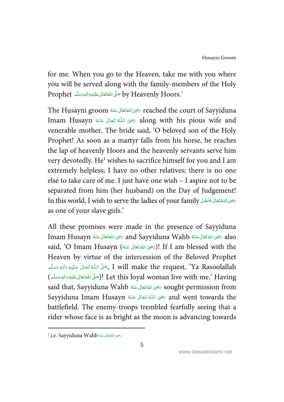for me. When you go to the Heaven, take me with you where you will be served along with the family-members of the Holy Prophet حَلَّى اللَّهُ تَعَالَى عَلَيْهِ وَالْهٖوَسَلَّم Prophet í í í í í ć

The Husayni groom حَضِى اللَّهِ تَعَالَى عَنْهُ Teached the court of Sayyiduna í ŕ ć í Imam Husayn حَضِيَ اللَّهُ تَعَالَى عَنْهُ Mam Husayn تَحْيَى اللَّهُ تَعَالَى عَنْهُ í í í ć . í venerable mother. The bride said, 'O beloved son of the Holy Prophet! As soon as a martyr falls from his horse, he reaches the lap of heavenly Hoors and the heavenly servants serve him very devotedly. He<sup>1</sup> wishes to sacrifice himself for you and I am extremely helpless; I have no other relatives; there is no one else to take care of me. I just have one wish – I aspire not to be separated from him (her husband) on the Day of Judgement! Jn this world, I wish to serve the ladies of your family سَحْمِىاللَّهُ قَالِ . í ĺ í . í as one of your slave girls.'

All these promises were made in the presence of Sayyiduna Imam Husayn حَرْسَى اللهَ تَعَالَى عَنْهُ and Sayyiduna Wahb حَرْضِ اللهَ تَعَالَى عَنْهُ Imam Husayn ć í ć í ć í ć í said, 'O Imam Husayn (رَضِى اللهُ تَعَانَى عَنْهُ) If I am blessed with the ć í ĺ í Heaven by virtue of the intercession of the Beloved Prophet جَلَّى اللَّهُ تَعَالَىٰ عَلَيْهِ رَالِهٖ رَسَلَّم , I will make the request, 'Ya Rasoolallah ŕ í ć . í ś í í جَمَّة الله الله الله المعَدَّمَ )! Let this loyal woman live with me.' Having í í í í í ć said that, Sayyiduna Wahb رَضِىَ اللَّهُ تَعَانَى عَنْهُ  $\sim$  sought permission from ć í ć í Sayyiduna Imam Husayn حزى اللُّهُ تَعَانَى عَنْهُ Sayyiduna Imam Husayn مضِى اللُّهُ تَعَانَى عَنْهُ í ŕ í ć . ć battlefield. The enemy-troops trembled fearfully seeing that a rider whose face is as bright as the moon is advancing towards

 $\overline{a}$ 

 $^1$  i.e. Sayyiduna Wahb تَحْوَىَ اللَّهْ تَقَالَى عَنْهُ í í ĺ í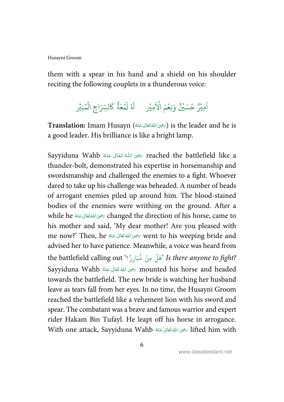them with a spear in his hand and a shield on his shoulder reciting the following couplets in a thunderous voice:

#### ُ<br>مِير َ امِيْرٌ حُسَيْنٌ وَنِعْمَ الأَمِيْر ֘ حُسَيۡنٌ وَنِعۡمَ الۡاَ ֘ و<br>د .<br>آ ٗل َ ع م ؚ<br>؞ اَدْعَهُ ل ٍ<br>ح كَالسِّرَاجِ الْمُنِيْرِ و<br>م ہ<br>آ

 $\textbf{T}$ ranslation: Imam Husayn (رَضِى اللهَ تَعَانى عَنْهُ) is the leader and he is ć í ć í a good leader. His brilliance is like a bright lamp.

Sayyiduna Wahb حَضِى اللَّهُ تَعَالَى عَنْهُ Mahb وَاللَّهُ مَسْلًا عَنْهُ كَمَاءً  $\tau$  eached the battlefield like a í í í ć . í thunder-bolt, demonstrated his expertise in horsemanship and swordsmanship and challenged the enemies to a fight. Whoever dared to take up his challenge was beheaded. A number of heads of arrogant enemies piled up around him. The blood-stained bodies of the enemies were writhing on the ground. After a while he ﷺ وَاللَّهُ تَعَالَى عَنْهُ while he ﴿ ć í ć í his mother and said, 'My dear mother! Are you pleased with me now?' Then, he صحيق الله تَعَانى عَنْهُ  $\sim$  went to his weeping bride and ć í ć í advised her to have patience. Meanwhile, a voice was heard from the battlefield calling out 'هَلْ مِنْ مُّبَارِزٌ ۚ ' Is *there anyone to fight*? ؚ<br>: ہ<br>آ  $\ddot{\cdot}$ Sayyiduna Wahb رَضِيَ اللَّهَ تَعَالَى عَنْهُ Sayyiduna Wahb مَضْ اللَّهَ مَعَالِمًا وَ اللَّهَ مَسَلَمَ ć í ć í towards the battlefield. The new bride is watching her husband leave as tears fall from her eyes. In no time, the Husayni Groom reached the battlefield like a vehement lion with his sword and spear. The combatant was a brave and famous warrior and expert rider Hakam Bin Tufayl. He leapt off his horse in arrogance. With one attack, Sayyiduna Wahb سَرْحِيَ اللَّهُ تَعَالَى عَنْهُ  $\,$  lifted him with ć í ć í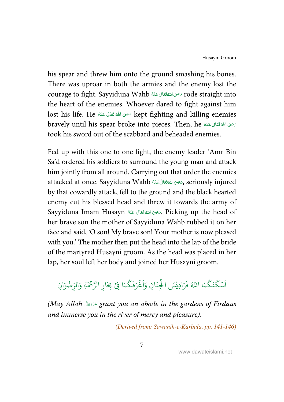his spear and threw him onto the ground smashing his bones. There was uproar in both the armies and the enemy lost the courage to fight. Sayyiduna Wahb - 2  \*.   /  3 ' rode straight into ć í ć í the heart of the enemies. Whoever dared to fight against him lost his life. He حَضِىَ اللهُ تَعَالَى عَنْهُ lost his life. He í í í í ć bravely until his spear broke into pieces. Then, he سَرْحِىَ اللَّهَ تَعَالَى عَنْهُ ć í ć í took his sword out of the scabbard and beheaded enemies.

Fed up with this one to one fight, the enemy leader 'Amr Bin Sa'd ordered his soldiers to surround the young man and attack him jointly from all around. Carrying out that order the enemies attacked at once. Sayyiduna Wahb حَرْضِىَ اللَّهْ تَعَالَى عَنْهُ  $\zeta,$  seriously injured ć í ć í by that cowardly attack, fell to the ground and the black hearted enemy cut his blessed head and threw it towards the army of Sayyiduna Imam Husayn گَرُهِى اللَّهُ تَعَالَى عَنْهُ Aicking up the head of ć í ć í her brave son the mother of Sayyiduna Wahb rubbed it on her face and said, 'O son! My brave son! Your mother is now pleased with you.' The mother then put the head into the lap of the bride of the martyred Husayni groom. As the head was placed in her lap, her soul left her body and joined her Husayni groom.

#### ֧<sup>֓</sup> س ر<br>آ ا ر<br>ا ك َ ن ا<br>ج كَنَكُمَا اللَّهُ فَرَادِيْسَ الْجِنَانِ وَاَغْ ؚ<br>ٛ ہ<br>ا  $\ddot{\cdot}$ وَاَغْرَقَكُمَا فِيْ بِحَارِ الرَّحْمَةِ وَالرِّضْ ا ر ់ وَالرِّضُوَانِ

(May Allah grant you an abode in the gardens of Firdaus í í and immerse you in the river of mercy and pleasure).

(Derived from: Sawanih-e-Karbala, pp. 141-146)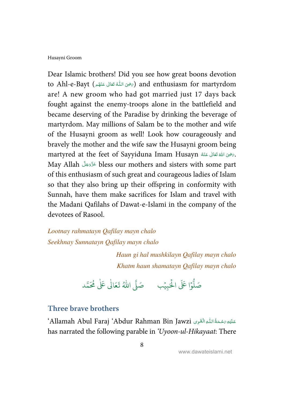Dear Islamic brothers! Did you see how great boons devotion to Ahl-e-Bayt (جَضِيَ اللَّهُ تَعَالَى عَنْهُم ) and enthusiasm for martyrdom í í ć í ŕ are! A new groom who had got married just 17 days back fought against the enemy-troops alone in the battlefield and became deserving of the Paradise by drinking the beverage of martyrdom. May millions of Salam be to the mother and wife of the Husayni groom as well! Look how courageously and bravely the mother and the wife saw the Husayni groom being martyred at the feet of Sayyiduna Imam Husayn شَحَالَ عَنْهُ 1987. ć í ć í May Allah bless our mothers and sisters with some part í í of this enthusiasm of such great and courageous ladies of Islam so that they also bring up their offspring in conformity with Sunnah, have them make sacrifices for Islam and travel with the Madani Qafilahs of Dawat-e-Islami in the company of the devotees of Rasool.

Lootnay rahmatayn Qafilay mayn chalo Seekhnay Sunnatayn Qafilay mayn chalo

> Haun gi hal mushkilayn Qafilay mayn chalo Khatm haun shamatayn Qafilay mayn chalo

.<br>وا عَلَى الْح ہ<br>ا <u>مو</u> صَلُّوۡا عَلَى الْحَبِيۡبِ ۚ صَلَّى اللّٰهُ ֘ صَلَّى اللهُ تَعَالٰى عَلٰى مُحَمَّد ٰ

### **Three brave brothers**

 $^{\circ}$ Allamah Abul Faraj  $^{\circ}$ Abdur Rahman Bin Jawzi حَلَيْهِ صَحْحَةُ اللّٰهِ الْقَوِى í í has narrated the following parable in 'Uyoon-ul-Hikayaat: There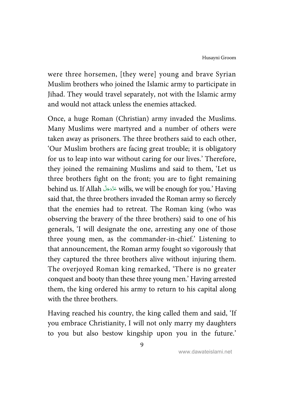were three horsemen, [they were] young and brave Syrian Muslim brothers who joined the Islamic army to participate in Jihad. They would travel separately, not with the Islamic army and would not attack unless the enemies attacked.

Once, a huge Roman (Christian) army invaded the Muslims. Many Muslims were martyred and a number of others were taken away as prisoners. The three brothers said to each other, 'Our Muslim brothers are facing great trouble; it is obligatory for us to leap into war without caring for our lives.' Therefore, they joined the remaining Muslims and said to them, 'Let us three brothers fight on the front; you are to fight remaining behind us. If Allah wills, we will be enough for you.' Having í í said that, the three brothers invaded the Roman army so fiercely that the enemies had to retreat. The Roman king (who was observing the bravery of the three brothers) said to one of his generals, 'I will designate the one, arresting any one of those three young men, as the commander-in-chief.' Listening to that announcement, the Roman army fought so vigorously that they captured the three brothers alive without injuring them. The overjoyed Roman king remarked, 'There is no greater conquest and booty than these three young men.' Having arrested them, the king ordered his army to return to his capital along with the three brothers.

Having reached his country, the king called them and said, 'If you embrace Christianity, I will not only marry my daughters to you but also bestow kingship upon you in the future.'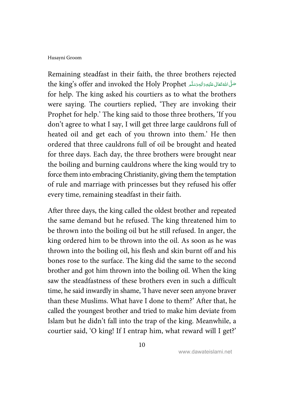Remaining steadfast in their faith, the three brothers rejected the king's offer and invoked the Holy Prophet تَسْلَى اللَّهُ تَعَانَى عَلَيْهِ زَالِهٖ رَسَلَہُ مِنْ اللَّهِ í ć í ć j í for help. The king asked his courtiers as to what the brothers were saying. The courtiers replied, 'They are invoking their Prophet for help.' The king said to those three brothers, 'If you don't agree to what I say, I will get three large cauldrons full of heated oil and get each of you thrown into them.' He then ordered that three cauldrons full of oil be brought and heated for three days. Each day, the three brothers were brought near the boiling and burning cauldrons where the king would try to force them into embracing Christianity, giving them the temptation of rule and marriage with princesses but they refused his offer every time, remaining steadfast in their faith.

After three days, the king called the oldest brother and repeated the same demand but he refused. The king threatened him to be thrown into the boiling oil but he still refused. In anger, the king ordered him to be thrown into the oil. As soon as he was thrown into the boiling oil, his flesh and skin burnt off and his bones rose to the surface. The king did the same to the second brother and got him thrown into the boiling oil. When the king saw the steadfastness of these brothers even in such a difficult time, he said inwardly in shame, 'I have never seen anyone braver than these Muslims. What have I done to them?' After that, he called the youngest brother and tried to make him deviate from Islam but he didn't fall into the trap of the king. Meanwhile, a courtier said, 'O king! If I entrap him, what reward will I get?'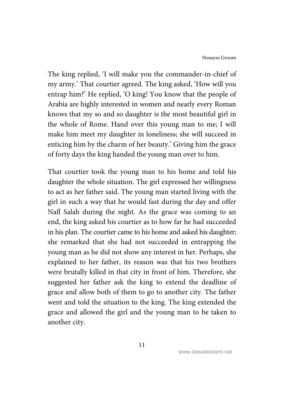The king replied, 'I will make you the commander-in-chief of my army.' That courtier agreed. The king asked, 'How will you entrap him?' He replied, 'O king! You know that the people of Arabia are highly interested in women and nearly every Roman knows that my so and so daughter is the most beautiful girl in the whole of Rome. Hand over this young man to me; I will make him meet my daughter in loneliness; she will succeed in enticing him by the charm of her beauty.' Giving him the grace of forty days the king handed the young man over to him.

That courtier took the young man to his home and told his daughter the whole situation. The girl expressed her willingness to act as her father said. The young man started living with the girl in such a way that he would fast during the day and offer Nafl Salah during the night. As the grace was coming to an end, the king asked his courtier as to how far he had succeeded in his plan. The courtier came to his home and asked his daughter; she remarked that she had not succeeded in entrapping the young man as he did not show any interest in her. Perhaps, she explained to her father, its reason was that his two brothers were brutally killed in that city in front of him. Therefore, she suggested her father ask the king to extend the deadline of grace and allow both of them to go to another city. The father went and told the situation to the king. The king extended the grace and allowed the girl and the young man to be taken to another city.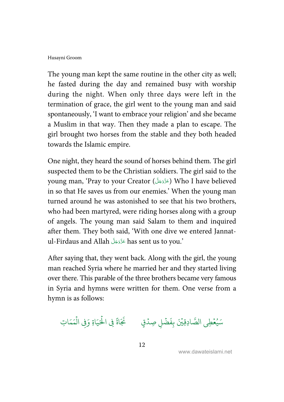The young man kept the same routine in the other city as well; he fasted during the day and remained busy with worship during the night. When only three days were left in the termination of grace, the girl went to the young man and said spontaneously, 'I want to embrace your religion' and she became a Muslim in that way. Then they made a plan to escape. The girl brought two horses from the stable and they both headed towards the Islamic empire.

One night, they heard the sound of horses behind them. The girl suspected them to be the Christian soldiers. The girl said to the young man, 'Pray to your Creator ( ) Who I have believed í í in so that He saves us from our enemies.' When the young man turned around he was astonished to see that his two brothers, who had been martyred, were riding horses along with a group of angels. The young man said Salam to them and inquired after them. They both said, 'With one dive we entered Jannatul-Firdaus and Allah has sent us to you.' ś í

After saying that, they went back. Along with the girl, the young man reached Syria where he married her and they started living over there. This parable of the three brothers became very famous in Syria and hymns were written for them. One verse from a hymn is as follows:

سَيُعْطِي الصَّادِقِيَّنَ بِفَضْلِ صِدْقٍ ۚ خَجَا ֘ و ہ<br>1  $\ddot{\cdot}$ ر<br>نم نَجَاةً فِي الْحَيَاةِ وَفِي الْمَمَاتِ ہ<br>ا ہ<br>ا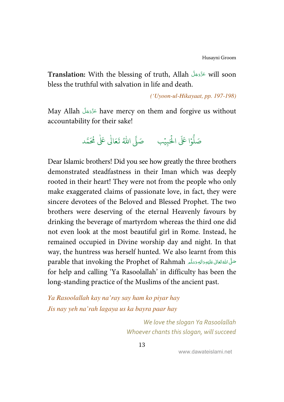**Translation:** With the blessing of truth, Allah will soon ś í bless the truthful with salvation in life and death.

('Uyoon-ul-Hikayaat, pp. 197-198)

May Allah have mercy on them and forgive us without ś í accountability for their sake!

> .<br>وا عَلَى الْحَ ہ<br>ا و<br>ا صَلُّوۡا عَلَى الْحَبِيۡبِ ۚ صَلَّى اللّٰهُ ֘ صَلَّى اللهُ تَعَالٰى عَلٰى مُحَمَّد ٰ

Dear Islamic brothers! Did you see how greatly the three brothers demonstrated steadfastness in their Iman which was deeply rooted in their heart! They were not from the people who only make exaggerated claims of passionate love, in fact, they were sincere devotees of the Beloved and Blessed Prophet. The two brothers were deserving of the eternal Heavenly favours by drinking the beverage of martyrdom whereas the third one did not even look at the most beautiful girl in Rome. Instead, he remained occupied in Divine worship day and night. In that way, the huntress was herself hunted. We also learnt from this parable that invoking the Prophet of Rahmah حَلَّى اللهُ قَتَانَى عَلَيْهِ وَاللهِ وَسَلَّم í ć í ć Ĵ í í for help and calling 'Ya Rasoolallah' in difficulty has been the long-standing practice of the Muslims of the ancient past.

Ya Rasoolallah kay na'ray say ham ko piyar hay Jis nay yeh na'rah lagaya us ka bayra paar hay

> We love the slogan Ya Rasoolallah Whoever chants this slogan, will succeed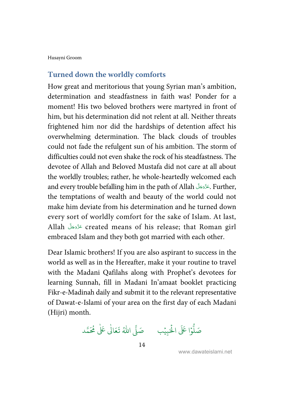### **Turned down the worldly comforts**

How great and meritorious that young Syrian man's ambition, determination and steadfastness in faith was! Ponder for a moment! His two beloved brothers were martyred in front of him, but his determination did not relent at all. Neither threats frightened him nor did the hardships of detention affect his overwhelming determination. The black clouds of troubles could not fade the refulgent sun of his ambition. The storm of difficulties could not even shake the rock of his steadfastness. The devotee of Allah and Beloved Mustafa did not care at all about the worldly troubles; rather, he whole-heartedly welcomed each and every trouble befalling him in the path of Allah . Further, í í the temptations of wealth and beauty of the world could not make him deviate from his determination and he turned down every sort of worldly comfort for the sake of Islam. At last, Allah created means of his release; that Roman girl ś í embraced Islam and they both got married with each other.

Dear Islamic brothers! If you are also aspirant to success in the world as well as in the Hereafter, make it your routine to travel with the Madani Qafilahs along with Prophet's devotees for learning Sunnah, fill in Madani In'amaat booklet practicing Fikr-e-Madinah daily and submit it to the relevant representative of Dawat-e-Islami of your area on the first day of each Madani (Hijri) month.

.<br>وا عَلَى الْح ر<br>أ و<br>أ صَلُّوۡا عَلَى الْحَبِيۡبِ ۚ صَلَّى اللّٰهُ ֘ صَلَّى اللهُ تَعَالٰى عَلٰى مُحَمَّد ٰ